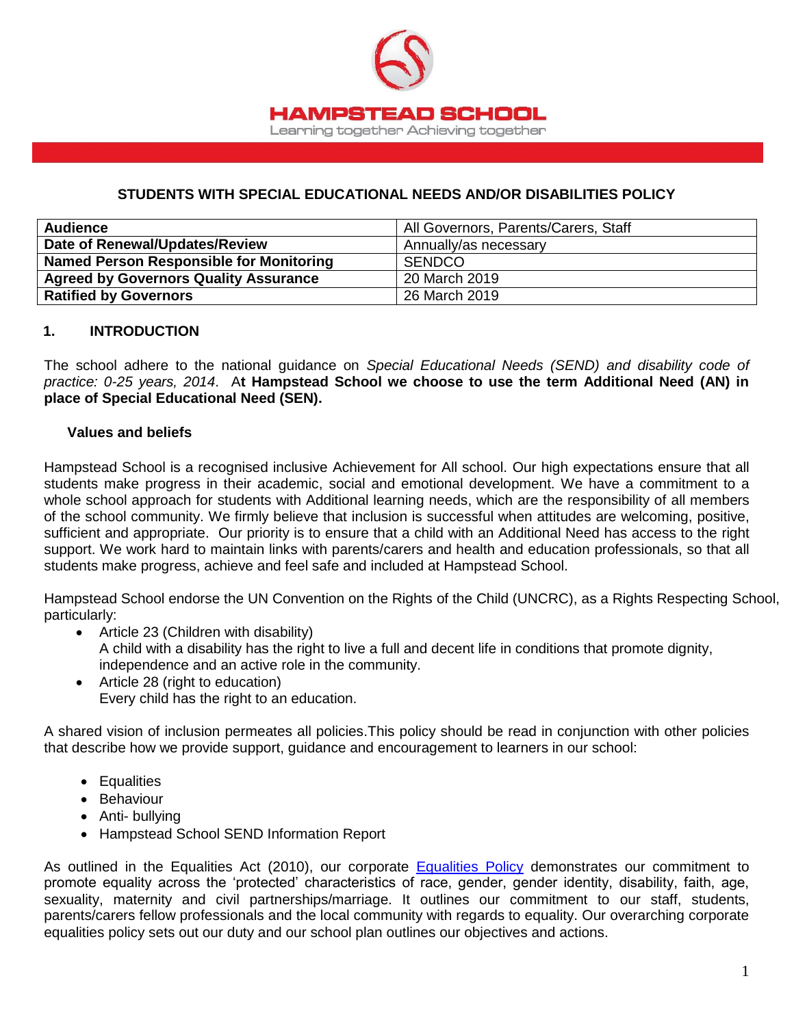

### **STUDENTS WITH SPECIAL EDUCATIONAL NEEDS AND/OR DISABILITIES POLICY**

| <b>Audience</b>                              | All Governors, Parents/Carers, Staff |
|----------------------------------------------|--------------------------------------|
| Date of Renewal/Updates/Review               | Annually/as necessary                |
| Named Person Responsible for Monitoring      | SENDCO                               |
| <b>Agreed by Governors Quality Assurance</b> | 20 March 2019                        |
| <b>Ratified by Governors</b>                 | 26 March 2019                        |

#### **1. INTRODUCTION**

The school adhere to the national guidance on *Special Educational Needs (SEND) and disability code of practice: 0-25 years, 2014*. A**t Hampstead School we choose to use the term Additional Need (AN) in place of Special Educational Need (SEN).**

#### **Values and beliefs**

Hampstead School is a recognised inclusive Achievement for All school. Our high expectations ensure that all students make progress in their academic, social and emotional development. We have a commitment to a whole school approach for students with Additional learning needs, which are the responsibility of all members of the school community. We firmly believe that inclusion is successful when attitudes are welcoming, positive, sufficient and appropriate. Our priority is to ensure that a child with an Additional Need has access to the right support. We work hard to maintain links with parents/carers and health and education professionals, so that all students make progress, achieve and feel safe and included at Hampstead School.

Hampstead School endorse the UN Convention on the Rights of the Child (UNCRC), as a Rights Respecting School, particularly:

- Article 23 (Children with disability) A child with a disability has the right to live a full and decent life in conditions that promote dignity, independence and an active role in the community.
- Article 28 (right to education) Every child has the right to an education.

A shared vision of inclusion permeates all policies.This policy should be read in conjunction with other policies that describe how we provide support, guidance and encouragement to learners in our school:

- Equalities
- Behaviour
- Anti- bullying
- Hampstead School SEND Information Report

As outlined in the Equalities Act (2010), our corporate [Equalities Policy](http://www.hampsteadschool.org.uk/_files/DC12401BF0D51A0C0DE98AE77D925C68.pdf) demonstrates our commitment to promote equality across the 'protected' characteristics of race, gender, gender identity, disability, faith, age, sexuality, maternity and civil partnerships/marriage. It outlines our commitment to our staff, students, parents/carers fellow professionals and the local community with regards to equality. Our overarching corporate equalities policy sets out our duty and our school plan outlines our objectives and actions.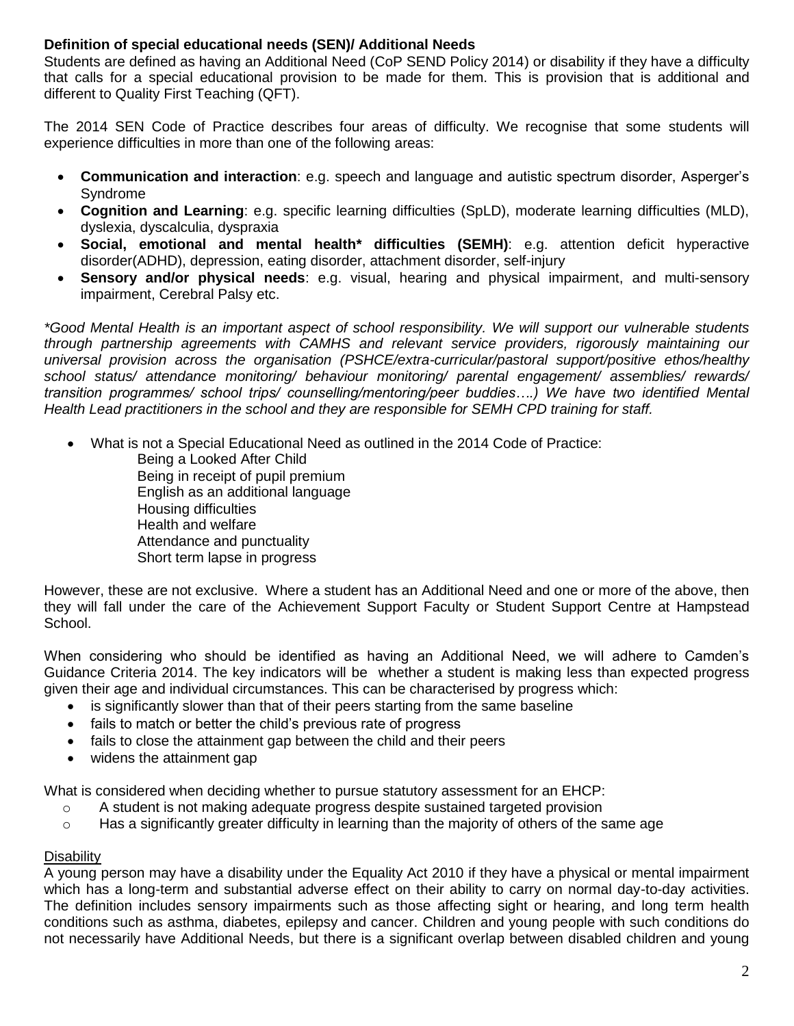## **Definition of special educational needs (SEN)/ Additional Needs**

Students are defined as having an Additional Need (CoP SEND Policy 2014) or disability if they have a difficulty that calls for a special educational provision to be made for them. This is provision that is additional and different to Quality First Teaching (QFT).

The 2014 SEN Code of Practice describes four areas of difficulty. We recognise that some students will experience difficulties in more than one of the following areas:

- **Communication and interaction**: e.g. speech and language and autistic spectrum disorder, Asperger's Syndrome
- **Cognition and Learning**: e.g. specific learning difficulties (SpLD), moderate learning difficulties (MLD), dyslexia, dyscalculia, dyspraxia
- **Social, emotional and mental health\* difficulties (SEMH)**: e.g. attention deficit hyperactive disorder(ADHD), depression, eating disorder, attachment disorder, self-injury
- **Sensory and/or physical needs**: e.g. visual, hearing and physical impairment, and multi-sensory impairment, Cerebral Palsy etc.

*\*Good Mental Health is an important aspect of school responsibility. We will support our vulnerable students through partnership agreements with CAMHS and relevant service providers, rigorously maintaining our universal provision across the organisation (PSHCE/extra-curricular/pastoral support/positive ethos/healthy school status/ attendance monitoring/ behaviour monitoring/ parental engagement/ assemblies/ rewards/ transition programmes/ school trips/ counselling/mentoring/peer buddies….) We have two identified Mental Health Lead practitioners in the school and they are responsible for SEMH CPD training for staff.*

What is not a Special Educational Need as outlined in the 2014 Code of Practice:

Being a Looked After Child Being in receipt of pupil premium English as an additional language Housing difficulties Health and welfare Attendance and punctuality Short term lapse in progress

However, these are not exclusive. Where a student has an Additional Need and one or more of the above, then they will fall under the care of the Achievement Support Faculty or Student Support Centre at Hampstead School.

When considering who should be identified as having an Additional Need, we will adhere to Camden's Guidance Criteria 2014. The key indicators will be whether a student is making less than expected progress given their age and individual circumstances. This can be characterised by progress which:

- is significantly slower than that of their peers starting from the same baseline
- fails to match or better the child's previous rate of progress
- fails to close the attainment gap between the child and their peers
- widens the attainment gap

What is considered when deciding whether to pursue statutory assessment for an EHCP:

- $\circ$  A student is not making adequate progress despite sustained targeted provision
- $\circ$  Has a significantly greater difficulty in learning than the majority of others of the same age

### **Disability**

A young person may have a disability under the Equality Act 2010 if they have a physical or mental impairment which has a long-term and substantial adverse effect on their ability to carry on normal day-to-day activities. The definition includes sensory impairments such as those affecting sight or hearing, and long term health conditions such as asthma, diabetes, epilepsy and cancer. Children and young people with such conditions do not necessarily have Additional Needs, but there is a significant overlap between disabled children and young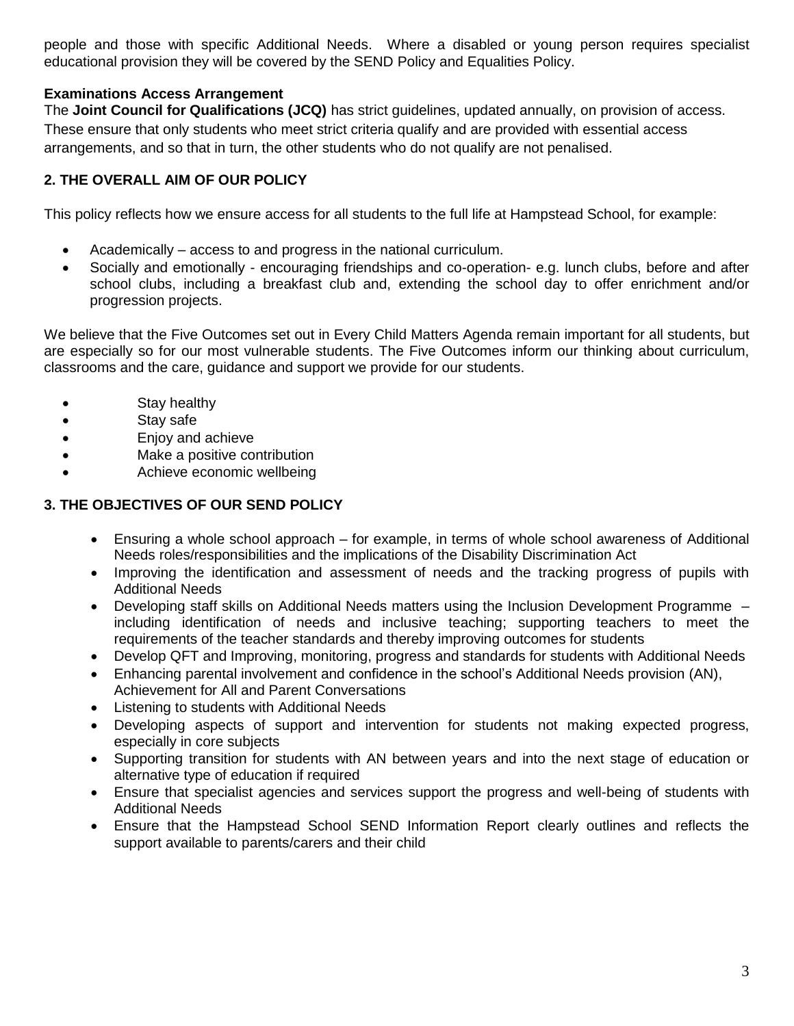people and those with specific Additional Needs. Where a disabled or young person requires specialist educational provision they will be covered by the SEND Policy and Equalities Policy.

## **Examinations Access Arrangement**

The **Joint Council for Qualifications (JCQ)** has strict guidelines, updated annually, on provision of access. These ensure that only students who meet strict criteria qualify and are provided with essential access arrangements, and so that in turn, the other students who do not qualify are not penalised.

## **2. THE OVERALL AIM OF OUR POLICY**

This policy reflects how we ensure access for all students to the full life at Hampstead School, for example:

- Academically access to and progress in the national curriculum.
- Socially and emotionally encouraging friendships and co-operation- e.g. lunch clubs, before and after school clubs, including a breakfast club and, extending the school day to offer enrichment and/or progression projects.

We believe that the Five Outcomes set out in Every Child Matters Agenda remain important for all students, but are especially so for our most vulnerable students. The Five Outcomes inform our thinking about curriculum, classrooms and the care, guidance and support we provide for our students.

- Stay healthy
- Stay safe
- Enjoy and achieve
- Make a positive contribution
- Achieve economic wellbeing

### **3. THE OBJECTIVES OF OUR SEND POLICY**

- Ensuring a whole school approach for example, in terms of whole school awareness of Additional Needs roles/responsibilities and the implications of the Disability Discrimination Act
- Improving the identification and assessment of needs and the tracking progress of pupils with Additional Needs
- Developing staff skills on Additional Needs matters using the Inclusion Development Programme including identification of needs and inclusive teaching; supporting teachers to meet the requirements of the teacher standards and thereby improving outcomes for students
- Develop QFT and Improving, monitoring, progress and standards for students with Additional Needs
- Enhancing parental involvement and confidence in the school's Additional Needs provision (AN),
- Achievement for All and Parent Conversations
- Listening to students with Additional Needs
- Developing aspects of support and intervention for students not making expected progress, especially in core subjects
- Supporting transition for students with AN between years and into the next stage of education or alternative type of education if required
- Ensure that specialist agencies and services support the progress and well-being of students with Additional Needs
- Ensure that the Hampstead School SEND Information Report clearly outlines and reflects the support available to parents/carers and their child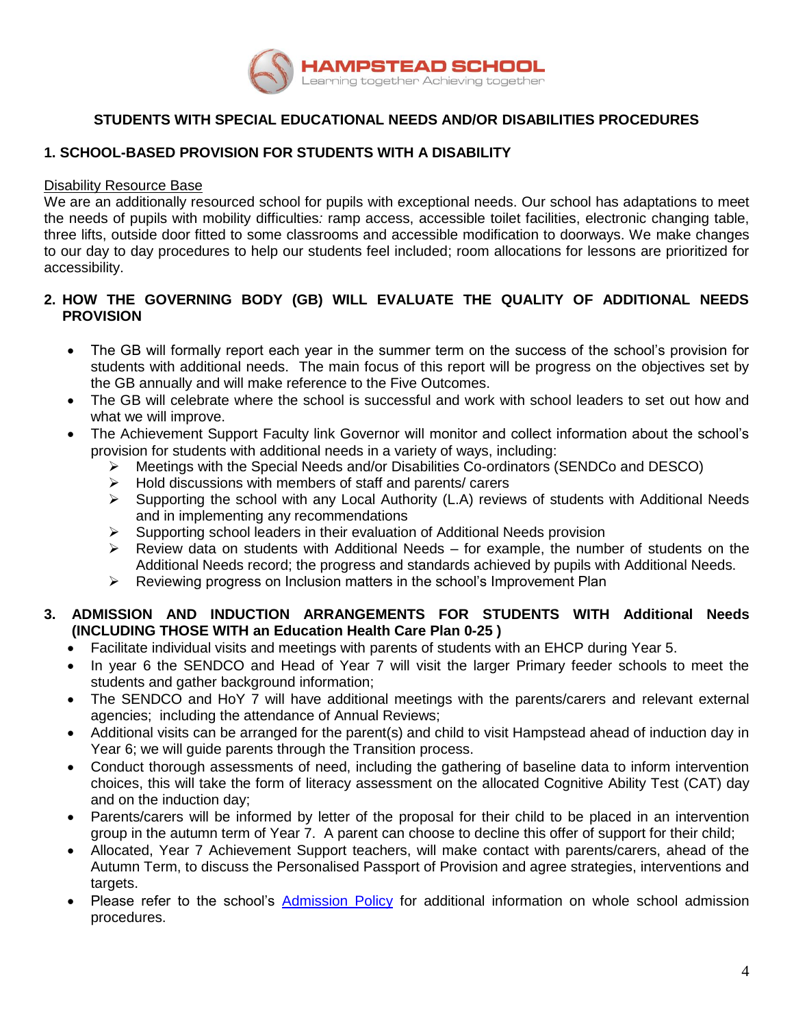

## **STUDENTS WITH SPECIAL EDUCATIONAL NEEDS AND/OR DISABILITIES PROCEDURES**

## **1. SCHOOL-BASED PROVISION FOR STUDENTS WITH A DISABILITY**

#### Disability Resource Base

We are an additionally resourced school for pupils with exceptional needs. Our school has adaptations to meet the needs of pupils with mobility difficulties*:* ramp access, accessible toilet facilities, electronic changing table, three lifts, outside door fitted to some classrooms and accessible modification to doorways. We make changes to our day to day procedures to help our students feel included; room allocations for lessons are prioritized for accessibility.

### **2. HOW THE GOVERNING BODY (GB) WILL EVALUATE THE QUALITY OF ADDITIONAL NEEDS PROVISION**

- The GB will formally report each year in the summer term on the success of the school's provision for students with additional needs. The main focus of this report will be progress on the objectives set by the GB annually and will make reference to the Five Outcomes.
- The GB will celebrate where the school is successful and work with school leaders to set out how and what we will improve.
- The Achievement Support Faculty link Governor will monitor and collect information about the school's provision for students with additional needs in a variety of ways, including:
	- Meetings with the Special Needs and/or Disabilities Co-ordinators (SENDCo and DESCO)
	- $\triangleright$  Hold discussions with members of staff and parents/ carers
	- $\triangleright$  Supporting the school with any Local Authority (L.A) reviews of students with Additional Needs and in implementing any recommendations
	- $\triangleright$  Supporting school leaders in their evaluation of Additional Needs provision
	- $\triangleright$  Review data on students with Additional Needs for example, the number of students on the Additional Needs record; the progress and standards achieved by pupils with Additional Needs.
	- $\triangleright$  Reviewing progress on Inclusion matters in the school's Improvement Plan

## **3. ADMISSION AND INDUCTION ARRANGEMENTS FOR STUDENTS WITH Additional Needs (INCLUDING THOSE WITH an Education Health Care Plan 0-25 )**

- Facilitate individual visits and meetings with parents of students with an EHCP during Year 5.
- In year 6 the SENDCO and Head of Year 7 will visit the larger Primary feeder schools to meet the students and gather background information;
- The SENDCO and HoY 7 will have additional meetings with the parents/carers and relevant external agencies; including the attendance of Annual Reviews;
- Additional visits can be arranged for the parent(s) and child to visit Hampstead ahead of induction day in Year 6; we will guide parents through the Transition process.
- Conduct thorough assessments of need, including the gathering of baseline data to inform intervention choices, this will take the form of literacy assessment on the allocated Cognitive Ability Test (CAT) day and on the induction day;
- Parents/carers will be informed by letter of the proposal for their child to be placed in an intervention group in the autumn term of Year 7. A parent can choose to decline this offer of support for their child;
- Allocated, Year 7 Achievement Support teachers, will make contact with parents/carers, ahead of the Autumn Term, to discuss the Personalised Passport of Provision and agree strategies, interventions and targets.
- Please refer to the school's [Admission Policy](http://www.hampsteadschool.org.uk/page/?title=Policies&pid=32) for additional information on whole school admission procedures.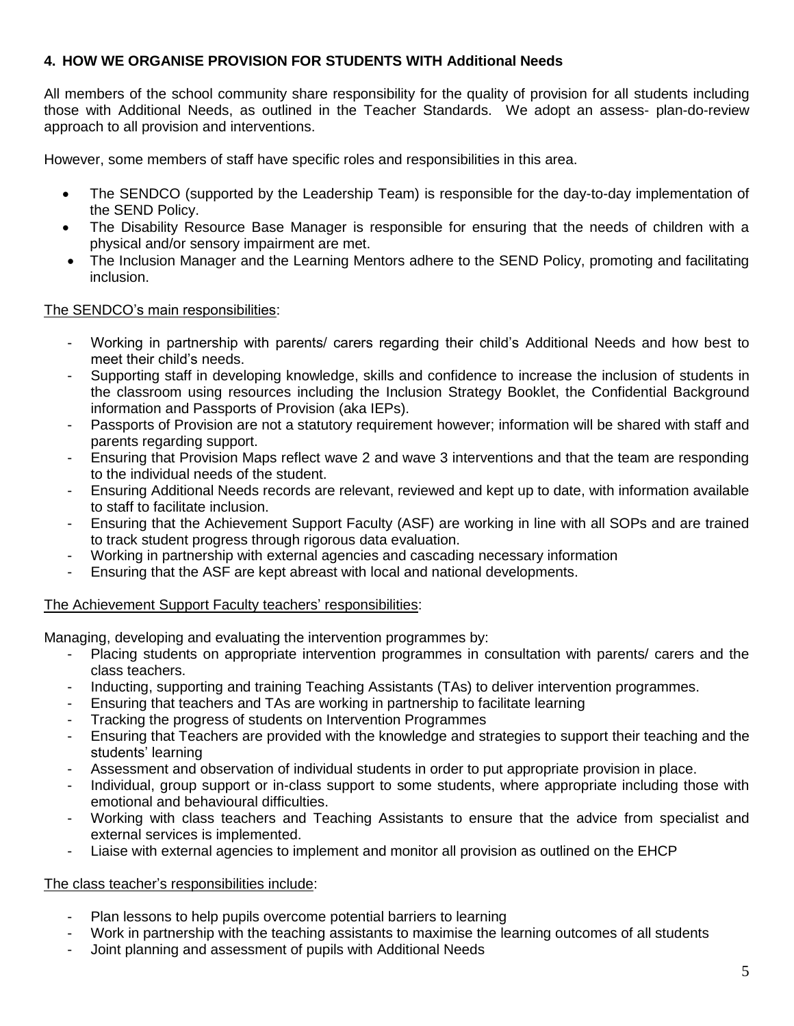## **4. HOW WE ORGANISE PROVISION FOR STUDENTS WITH Additional Needs**

All members of the school community share responsibility for the quality of provision for all students including those with Additional Needs, as outlined in the Teacher Standards. We adopt an assess- plan-do-review approach to all provision and interventions.

However, some members of staff have specific roles and responsibilities in this area.

- The SENDCO (supported by the Leadership Team) is responsible for the day-to-day implementation of the SEND Policy.
- The Disability Resource Base Manager is responsible for ensuring that the needs of children with a physical and/or sensory impairment are met.
- The Inclusion Manager and the Learning Mentors adhere to the SEND Policy, promoting and facilitating inclusion.

### The SENDCO's main responsibilities:

- Working in partnership with parents/ carers regarding their child's Additional Needs and how best to meet their child's needs.
- Supporting staff in developing knowledge, skills and confidence to increase the inclusion of students in the classroom using resources including the Inclusion Strategy Booklet, the Confidential Background information and Passports of Provision (aka IEPs).
- Passports of Provision are not a statutory requirement however; information will be shared with staff and parents regarding support.
- Ensuring that Provision Maps reflect wave 2 and wave 3 interventions and that the team are responding to the individual needs of the student.
- Ensuring Additional Needs records are relevant, reviewed and kept up to date, with information available to staff to facilitate inclusion.
- Ensuring that the Achievement Support Faculty (ASF) are working in line with all SOPs and are trained to track student progress through rigorous data evaluation.
- Working in partnership with external agencies and cascading necessary information
- Ensuring that the ASF are kept abreast with local and national developments.

## The Achievement Support Faculty teachers' responsibilities:

Managing, developing and evaluating the intervention programmes by:

- Placing students on appropriate intervention programmes in consultation with parents/ carers and the class teachers.
- Inducting, supporting and training Teaching Assistants (TAs) to deliver intervention programmes.
- Ensuring that teachers and TAs are working in partnership to facilitate learning
- Tracking the progress of students on Intervention Programmes
- Ensuring that Teachers are provided with the knowledge and strategies to support their teaching and the students' learning
- Assessment and observation of individual students in order to put appropriate provision in place.
- Individual, group support or in-class support to some students, where appropriate including those with emotional and behavioural difficulties.
- Working with class teachers and Teaching Assistants to ensure that the advice from specialist and external services is implemented.
- Liaise with external agencies to implement and monitor all provision as outlined on the EHCP

### The class teacher's responsibilities include:

- Plan lessons to help pupils overcome potential barriers to learning
- Work in partnership with the teaching assistants to maximise the learning outcomes of all students
- Joint planning and assessment of pupils with Additional Needs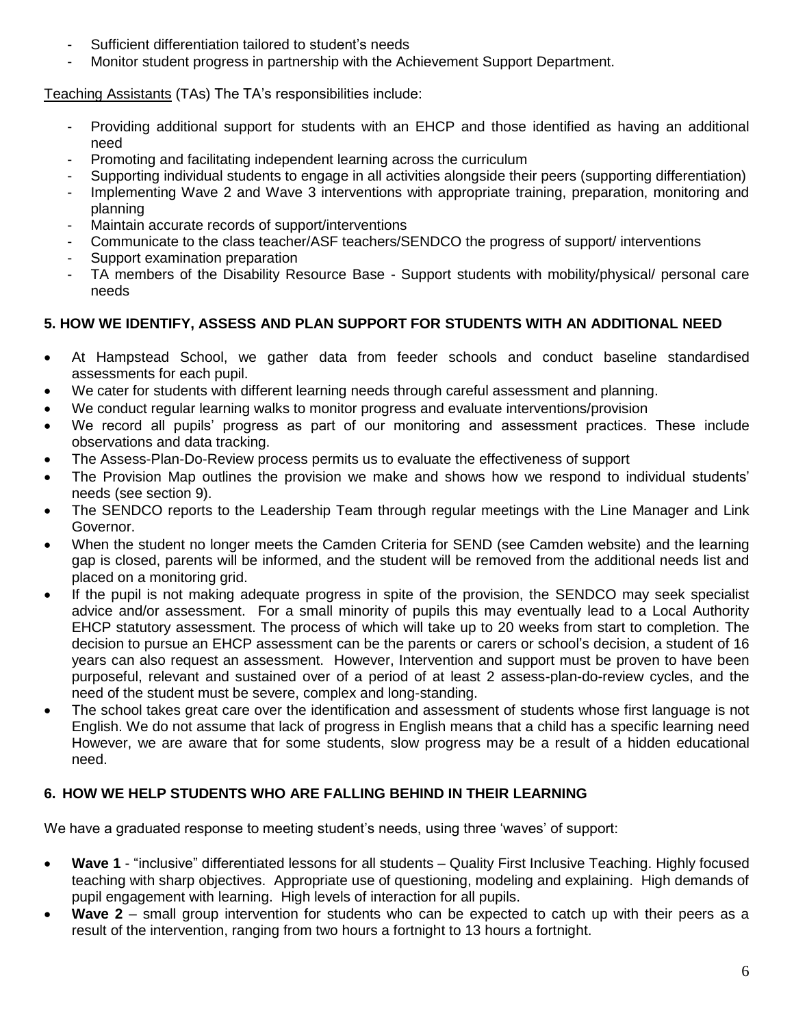- Sufficient differentiation tailored to student's needs
- Monitor student progress in partnership with the Achievement Support Department.

Teaching Assistants (TAs) The TA's responsibilities include:

- Providing additional support for students with an EHCP and those identified as having an additional need
- Promoting and facilitating independent learning across the curriculum
- Supporting individual students to engage in all activities alongside their peers (supporting differentiation)
- Implementing Wave 2 and Wave 3 interventions with appropriate training, preparation, monitoring and planning
- Maintain accurate records of support/interventions
- Communicate to the class teacher/ASF teachers/SENDCO the progress of support/ interventions
- Support examination preparation
- TA members of the Disability Resource Base Support students with mobility/physical/ personal care needs

## **5. HOW WE IDENTIFY, ASSESS AND PLAN SUPPORT FOR STUDENTS WITH AN ADDITIONAL NEED**

- At Hampstead School, we gather data from feeder schools and conduct baseline standardised assessments for each pupil.
- We cater for students with different learning needs through careful assessment and planning.
- We conduct regular learning walks to monitor progress and evaluate interventions/provision
- We record all pupils' progress as part of our monitoring and assessment practices. These include observations and data tracking.
- The Assess-Plan-Do-Review process permits us to evaluate the effectiveness of support
- The Provision Map outlines the provision we make and shows how we respond to individual students' needs (see section 9).
- The SENDCO reports to the Leadership Team through regular meetings with the Line Manager and Link Governor.
- When the student no longer meets the Camden Criteria for SEND (see Camden website) and the learning gap is closed, parents will be informed, and the student will be removed from the additional needs list and placed on a monitoring grid.
- If the pupil is not making adequate progress in spite of the provision, the SENDCO may seek specialist advice and/or assessment. For a small minority of pupils this may eventually lead to a Local Authority EHCP statutory assessment. The process of which will take up to 20 weeks from start to completion. The decision to pursue an EHCP assessment can be the parents or carers or school's decision, a student of 16 years can also request an assessment. However, Intervention and support must be proven to have been purposeful, relevant and sustained over of a period of at least 2 assess-plan-do-review cycles, and the need of the student must be severe, complex and long-standing.
- The school takes great care over the identification and assessment of students whose first language is not English. We do not assume that lack of progress in English means that a child has a specific learning need However, we are aware that for some students, slow progress may be a result of a hidden educational need.

## **6. HOW WE HELP STUDENTS WHO ARE FALLING BEHIND IN THEIR LEARNING**

We have a graduated response to meeting student's needs, using three 'waves' of support:

- **Wave 1** "inclusive" differentiated lessons for all students Quality First Inclusive Teaching. Highly focused teaching with sharp objectives. Appropriate use of questioning, modeling and explaining. High demands of pupil engagement with learning. High levels of interaction for all pupils.
- **Wave 2** small group intervention for students who can be expected to catch up with their peers as a result of the intervention, ranging from two hours a fortnight to 13 hours a fortnight.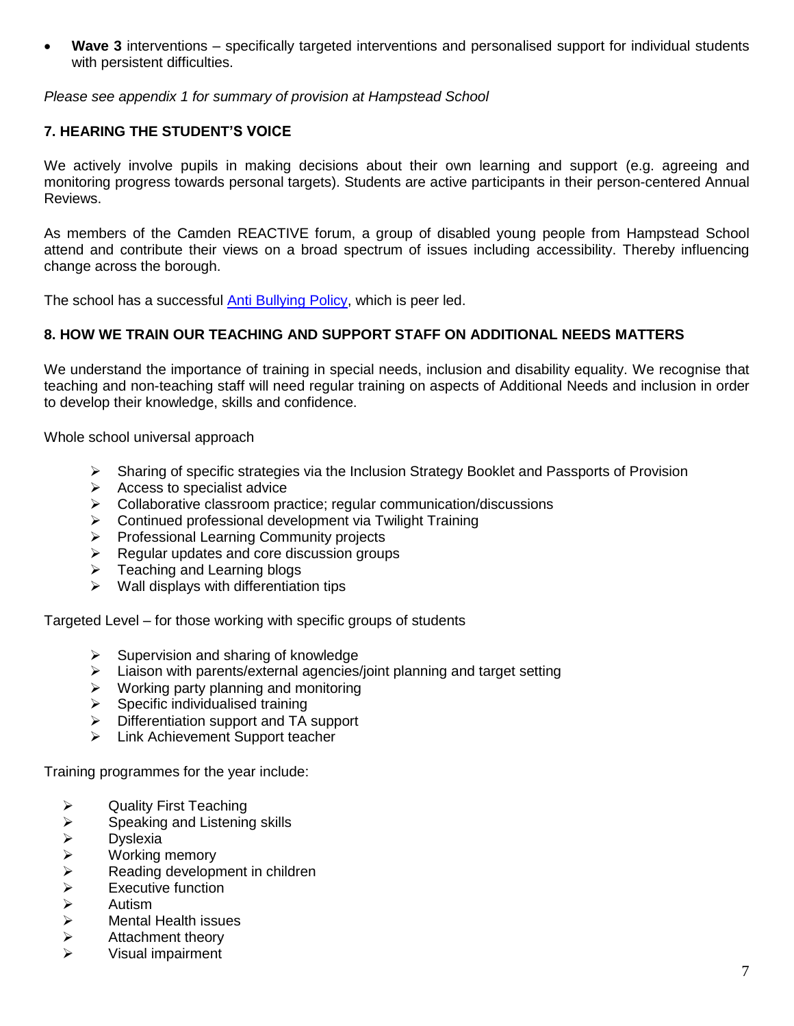**Wave 3** interventions – specifically targeted interventions and personalised support for individual students with persistent difficulties.

*Please see appendix 1 for summary of provision at Hampstead School*

## **7. HEARING THE STUDENT'S VOICE**

We actively involve pupils in making decisions about their own learning and support (e.g. agreeing and monitoring progress towards personal targets). Students are active participants in their person-centered Annual Reviews.

As members of the Camden REACTIVE forum, a group of disabled young people from Hampstead School attend and contribute their views on a broad spectrum of issues including accessibility. Thereby influencing change across the borough.

The school has a successful [Anti Bullying Policy,](http://www.hampsteadschool.org.uk/page/?title=Policies&pid=32) which is peer led.

### **8. HOW WE TRAIN OUR TEACHING AND SUPPORT STAFF ON ADDITIONAL NEEDS MATTERS**

We understand the importance of training in special needs, inclusion and disability equality. We recognise that teaching and non-teaching staff will need regular training on aspects of Additional Needs and inclusion in order to develop their knowledge, skills and confidence.

Whole school universal approach

- $\triangleright$  Sharing of specific strategies via the Inclusion Strategy Booklet and Passports of Provision
- $\triangleright$  Access to specialist advice
- $\triangleright$  Collaborative classroom practice; regular communication/discussions
- $\triangleright$  Continued professional development via Twilight Training
- $\triangleright$  Professional Learning Community projects
- $\triangleright$  Regular updates and core discussion groups
- $\triangleright$  Teaching and Learning blogs
- $\triangleright$  Wall displays with differentiation tips

Targeted Level – for those working with specific groups of students

- $\triangleright$  Supervision and sharing of knowledge
- $\triangleright$  Liaison with parents/external agencies/joint planning and target setting
- $\triangleright$  Working party planning and monitoring
- $\triangleright$  Specific individualised training
- $\triangleright$  Differentiation support and TA support
- $\triangleright$  Link Achievement Support teacher

Training programmes for the year include:

- $\triangleright$  Quality First Teaching
- $\triangleright$  Speaking and Listening skills
- 
- → Dyslexia<br>
→ Working<br>
→ Reading<br>
→ Autism<br>
→ Mental H Working memory
- Reading development in children
- Executive function
- Autism
- Mental Health issues
- $\triangleright$  Attachment theory
- Visual impairment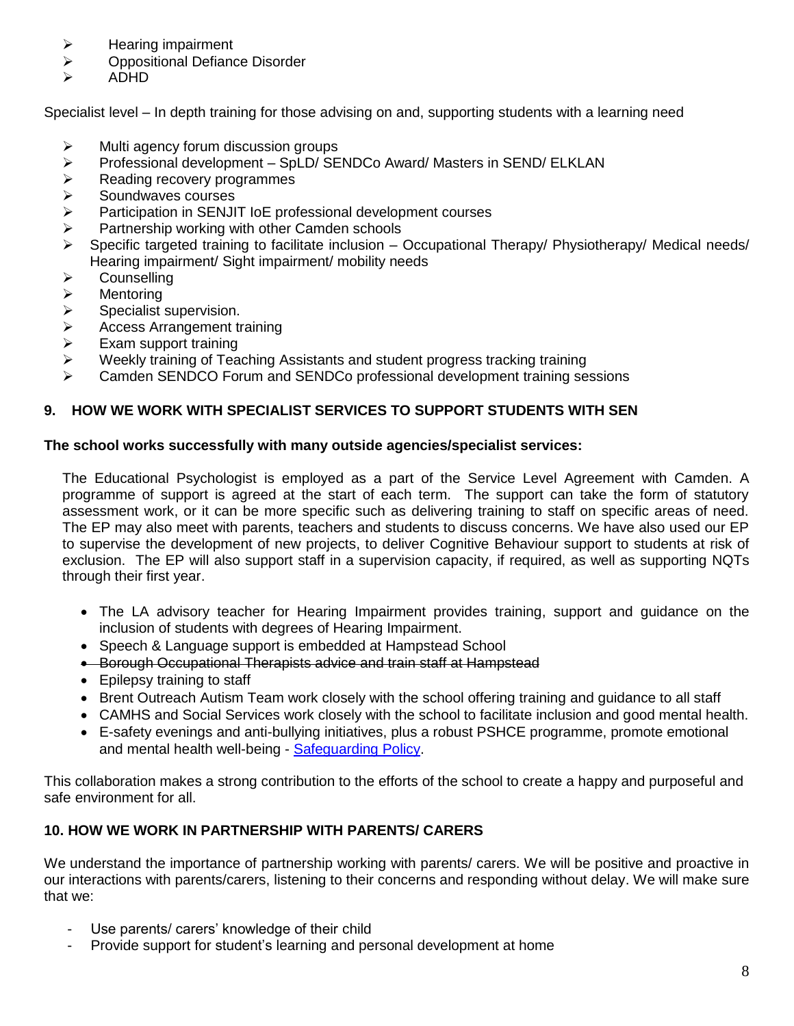- $\triangleright$  Hearing impairment
- **▶ Oppositional Defiance Disorder**
- ADHD

Specialist level – In depth training for those advising on and, supporting students with a learning need

- $\triangleright$  Multi agency forum discussion groups
- $\triangleright$  Professional development SpLD/ SENDCo Award/ Masters in SEND/ ELKLAN
- $\triangleright$  Reading recovery programmes
- $\triangleright$  Soundwaves courses
- $\triangleright$  Participation in SENJIT IoE professional development courses
- $\triangleright$  Partnership working with other Camden schools
- $\triangleright$  Specific targeted training to facilitate inclusion Occupational Therapy/ Physiotherapy/ Medical needs/ Hearing impairment/ Sight impairment/ mobility needs
- > Counselling
- > Mentoring
- $\triangleright$  Specialist supervision.
- $\geq$  Access Arrangement training<br> $\geq$  Exam support training
- Exam support training
- $\triangleright$  Weekly training of Teaching Assistants and student progress tracking training
- Camden SENDCO Forum and SENDCo professional development training sessions

### **9. HOW WE WORK WITH SPECIALIST SERVICES TO SUPPORT STUDENTS WITH SEN**

#### **The school works successfully with many outside agencies/specialist services:**

The Educational Psychologist is employed as a part of the Service Level Agreement with Camden. A programme of support is agreed at the start of each term. The support can take the form of statutory assessment work, or it can be more specific such as delivering training to staff on specific areas of need. The EP may also meet with parents, teachers and students to discuss concerns. We have also used our EP to supervise the development of new projects, to deliver Cognitive Behaviour support to students at risk of exclusion. The EP will also support staff in a supervision capacity, if required, as well as supporting NQTs through their first year.

- The LA advisory teacher for Hearing Impairment provides training, support and guidance on the inclusion of students with degrees of Hearing Impairment.
- Speech & Language support is embedded at Hampstead School
- Borough Occupational Therapists advice and train staff at Hampstead
- Epilepsy training to staff
- Brent Outreach Autism Team work closely with the school offering training and guidance to all staff
- CAMHS and Social Services work closely with the school to facilitate inclusion and good mental health.
- E-safety evenings and anti-bullying initiatives, plus a robust PSHCE programme, promote emotional and mental health well-being - [Safeguarding Policy.](http://www.hampsteadschool.org.uk/page/?title=Policies&pid=32)

This collaboration makes a strong contribution to the efforts of the school to create a happy and purposeful and safe environment for all.

## **10. HOW WE WORK IN PARTNERSHIP WITH PARENTS/ CARERS**

We understand the importance of partnership working with parents/ carers. We will be positive and proactive in our interactions with parents/carers, listening to their concerns and responding without delay. We will make sure that we:

- Use parents/ carers' knowledge of their child
- Provide support for student's learning and personal development at home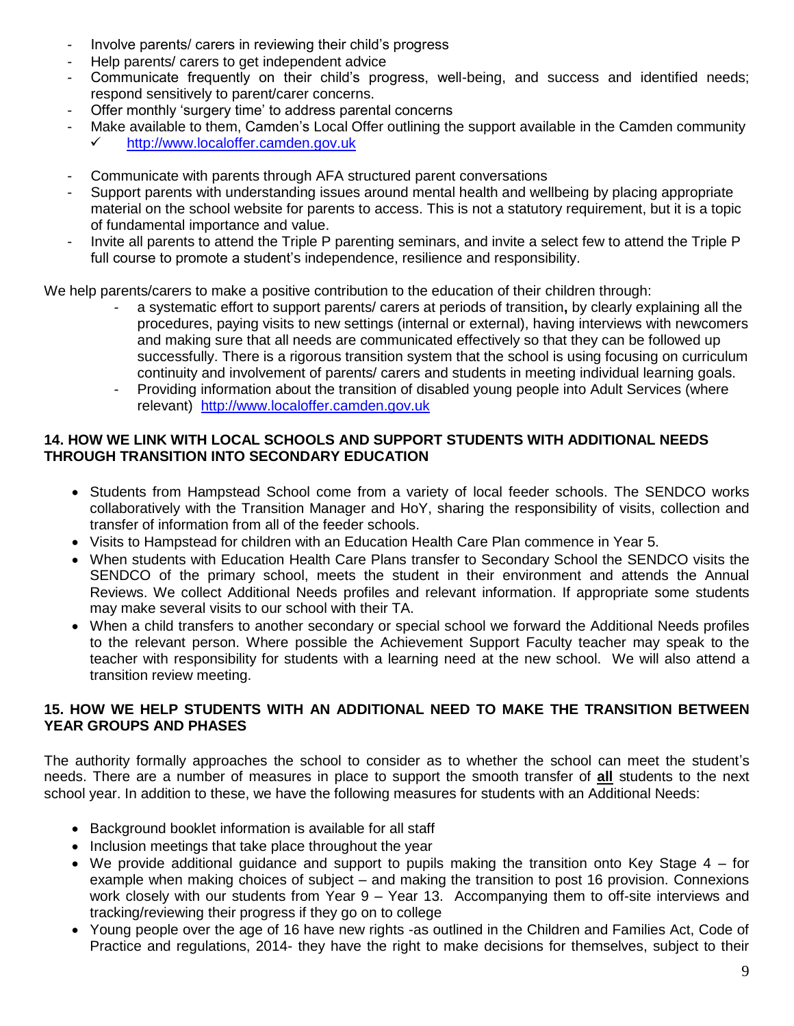- Involve parents/ carers in reviewing their child's progress
- Help parents/ carers to get independent advice
- Communicate frequently on their child's progress, well-being, and success and identified needs; respond sensitively to parent/carer concerns.
- Offer monthly 'surgery time' to address parental concerns
- Make available to them, Camden's Local Offer outlining the support available in the Camden community [http://www.localoffer.camden.gov.uk](http://www.localoffer.camden.gov.uk/)
- Communicate with parents through AFA structured parent conversations
- Support parents with understanding issues around mental health and wellbeing by placing appropriate material on the school website for parents to access. This is not a statutory requirement, but it is a topic of fundamental importance and value.
- Invite all parents to attend the Triple P parenting seminars, and invite a select few to attend the Triple P full course to promote a student's independence, resilience and responsibility.

We help parents/carers to make a positive contribution to the education of their children through:

- a systematic effort to support parents/ carers at periods of transition**,** by clearly explaining all the procedures, paying visits to new settings (internal or external), having interviews with newcomers and making sure that all needs are communicated effectively so that they can be followed up successfully. There is a rigorous transition system that the school is using focusing on curriculum continuity and involvement of parents/ carers and students in meeting individual learning goals.
- Providing information about the transition of disabled young people into Adult Services (where relevant) [http://www.localoffer.camden.gov.uk](http://www.localoffer.camden.gov.uk/)

## **14. HOW WE LINK WITH LOCAL SCHOOLS AND SUPPORT STUDENTS WITH ADDITIONAL NEEDS THROUGH TRANSITION INTO SECONDARY EDUCATION**

- Students from Hampstead School come from a variety of local feeder schools. The SENDCO works collaboratively with the Transition Manager and HoY, sharing the responsibility of visits, collection and transfer of information from all of the feeder schools.
- Visits to Hampstead for children with an Education Health Care Plan commence in Year 5.
- When students with Education Health Care Plans transfer to Secondary School the SENDCO visits the SENDCO of the primary school, meets the student in their environment and attends the Annual Reviews. We collect Additional Needs profiles and relevant information. If appropriate some students may make several visits to our school with their TA.
- When a child transfers to another secondary or special school we forward the Additional Needs profiles to the relevant person. Where possible the Achievement Support Faculty teacher may speak to the teacher with responsibility for students with a learning need at the new school. We will also attend a transition review meeting.

## **15. HOW WE HELP STUDENTS WITH AN ADDITIONAL NEED TO MAKE THE TRANSITION BETWEEN YEAR GROUPS AND PHASES**

The authority formally approaches the school to consider as to whether the school can meet the student's needs. There are a number of measures in place to support the smooth transfer of **all** students to the next school year. In addition to these, we have the following measures for students with an Additional Needs:

- Background booklet information is available for all staff
- Inclusion meetings that take place throughout the year
- We provide additional quidance and support to pupils making the transition onto Key Stage  $4 -$  for example when making choices of subject – and making the transition to post 16 provision. Connexions work closely with our students from Year 9 – Year 13. Accompanying them to off-site interviews and tracking/reviewing their progress if they go on to college
- Young people over the age of 16 have new rights -as outlined in the Children and Families Act, Code of Practice and regulations, 2014- they have the right to make decisions for themselves, subject to their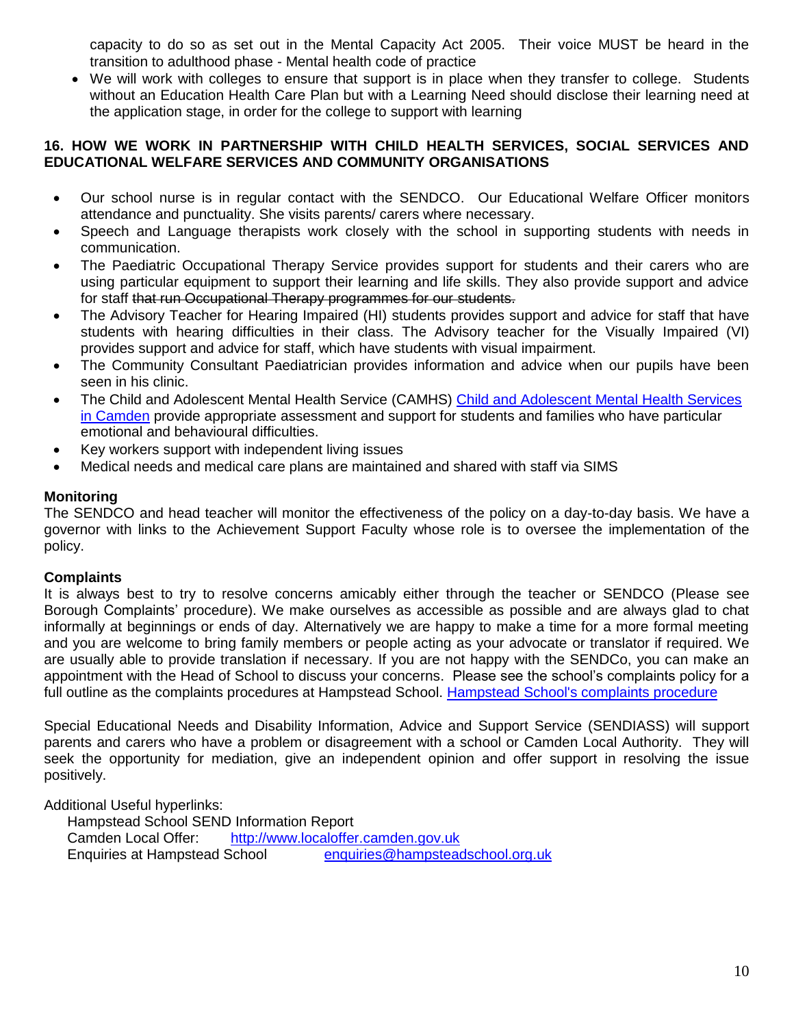capacity to do so as set out in the Mental Capacity Act 2005. Their voice MUST be heard in the transition to adulthood phase - Mental health code of practice

 We will work with colleges to ensure that support is in place when they transfer to college. Students without an Education Health Care Plan but with a Learning Need should disclose their learning need at the application stage, in order for the college to support with learning

### **16. HOW WE WORK IN PARTNERSHIP WITH CHILD HEALTH SERVICES, SOCIAL SERVICES AND EDUCATIONAL WELFARE SERVICES AND COMMUNITY ORGANISATIONS**

- Our school nurse is in regular contact with the SENDCO. Our Educational Welfare Officer monitors attendance and punctuality. She visits parents/ carers where necessary.
- Speech and Language therapists work closely with the school in supporting students with needs in communication.
- The Paediatric Occupational Therapy Service provides support for students and their carers who are using particular equipment to support their learning and life skills. They also provide support and advice for staff that run Occupational Therapy programmes for our students.
- The Advisory Teacher for Hearing Impaired (HI) students provides support and advice for staff that have students with hearing difficulties in their class. The Advisory teacher for the Visually Impaired (VI) provides support and advice for staff, which have students with visual impairment.
- The Community Consultant Paediatrician provides information and advice when our pupils have been seen in his clinic.
- The Child and Adolescent Mental Health Service (CAMHS) Child and Adolescent Mental Health Services [in Camden](http://www.camden.gov.uk/ccm/content/contacts/contact-child-and-adolescent-mental-health-services.en) provide appropriate assessment and support for students and families who have particular emotional and behavioural difficulties.
- Key workers support with independent living issues
- Medical needs and medical care plans are maintained and shared with staff via SIMS

## **Monitoring**

The SENDCO and head teacher will monitor the effectiveness of the policy on a day-to-day basis. We have a governor with links to the Achievement Support Faculty whose role is to oversee the implementation of the policy.

### **Complaints**

It is always best to try to resolve concerns amicably either through the teacher or SENDCO (Please see Borough Complaints' procedure). We make ourselves as accessible as possible and are always glad to chat informally at beginnings or ends of day. Alternatively we are happy to make a time for a more formal meeting and you are welcome to bring family members or people acting as your advocate or translator if required. We are usually able to provide translation if necessary. If you are not happy with the SENDCo, you can make an appointment with the Head of School to discuss your concerns. Please see the school's complaints policy for a full outline as the complaints procedures at Hampstead School. [Hampstead School's complaints procedure](http://www.hampsteadschool.org.uk/_files/A515932FB29561555273FB1774A6A659.pdf)

Special Educational Needs and Disability Information, Advice and Support Service (SENDIASS) will support parents and carers who have a problem or disagreement with a school or Camden Local Authority. They will seek the opportunity for mediation, give an independent opinion and offer support in resolving the issue positively.

Additional Useful hyperlinks:

Hampstead School SEND Information Report Camden Local Offer: [http://www.localoffer.camden.gov.uk](http://www.localoffer.camden.gov.uk/) Enquiries at Hampstead School [enquiries@hampsteadschool.org.uk](mailto:enquiries@hampsteadschool.org.uk)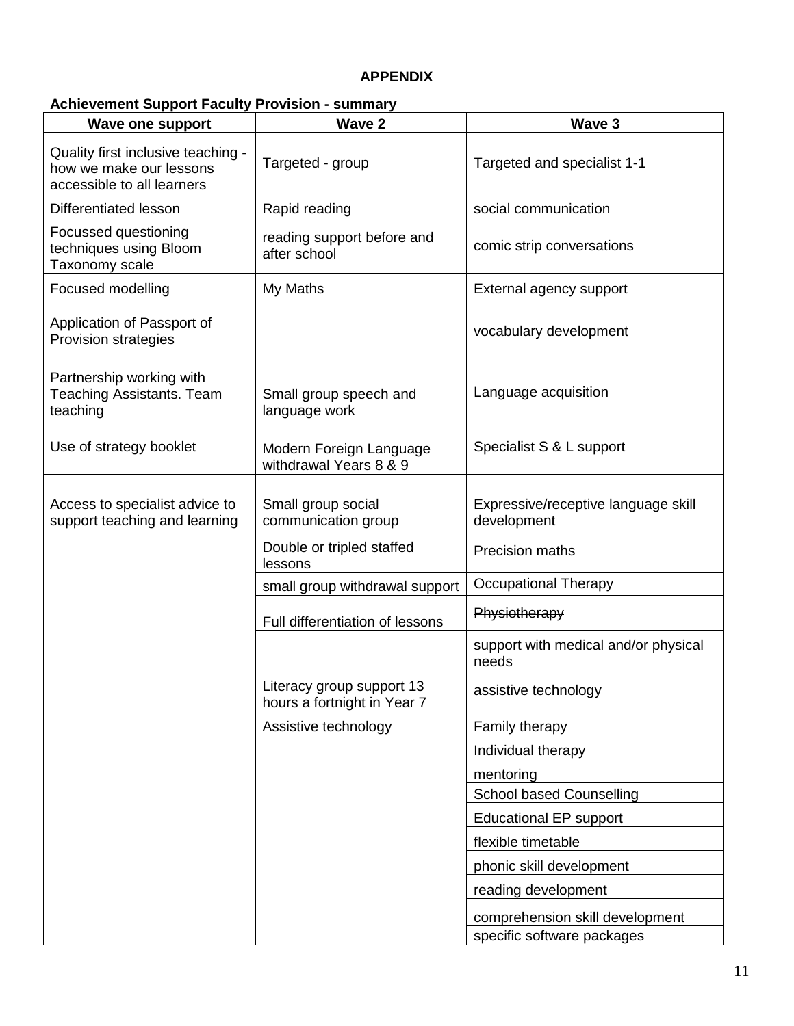## **APPENDIX**

# **Achievement Support Faculty Provision - summary**

| <b>Wave one support</b>                                                                     | Wave 2                                                   | Wave 3                                             |
|---------------------------------------------------------------------------------------------|----------------------------------------------------------|----------------------------------------------------|
| Quality first inclusive teaching -<br>how we make our lessons<br>accessible to all learners | Targeted - group                                         | Targeted and specialist 1-1                        |
| Differentiated lesson                                                                       | Rapid reading                                            | social communication                               |
| Focussed questioning<br>techniques using Bloom<br>Taxonomy scale                            | reading support before and<br>after school               | comic strip conversations                          |
| Focused modelling                                                                           | My Maths                                                 | External agency support                            |
| Application of Passport of<br>Provision strategies                                          |                                                          | vocabulary development                             |
| Partnership working with<br><b>Teaching Assistants. Team</b><br>teaching                    | Small group speech and<br>language work                  | Language acquisition                               |
| Use of strategy booklet                                                                     | Modern Foreign Language<br>withdrawal Years 8 & 9        | Specialist S & L support                           |
| Access to specialist advice to<br>support teaching and learning                             | Small group social<br>communication group                | Expressive/receptive language skill<br>development |
|                                                                                             | Double or tripled staffed<br>lessons                     | Precision maths                                    |
|                                                                                             | small group withdrawal support                           | <b>Occupational Therapy</b>                        |
|                                                                                             | Full differentiation of lessons                          | Physiotherapy                                      |
|                                                                                             |                                                          | support with medical and/or physical<br>needs      |
|                                                                                             | Literacy group support 13<br>hours a fortnight in Year 7 | assistive technology                               |
|                                                                                             | Assistive technology                                     | Family therapy                                     |
|                                                                                             |                                                          | Individual therapy                                 |
|                                                                                             |                                                          | mentoring                                          |
|                                                                                             |                                                          | <b>School based Counselling</b>                    |
|                                                                                             |                                                          | <b>Educational EP support</b>                      |
|                                                                                             |                                                          | flexible timetable                                 |
|                                                                                             |                                                          | phonic skill development                           |
|                                                                                             |                                                          | reading development                                |
|                                                                                             |                                                          | comprehension skill development                    |
|                                                                                             |                                                          | specific software packages                         |